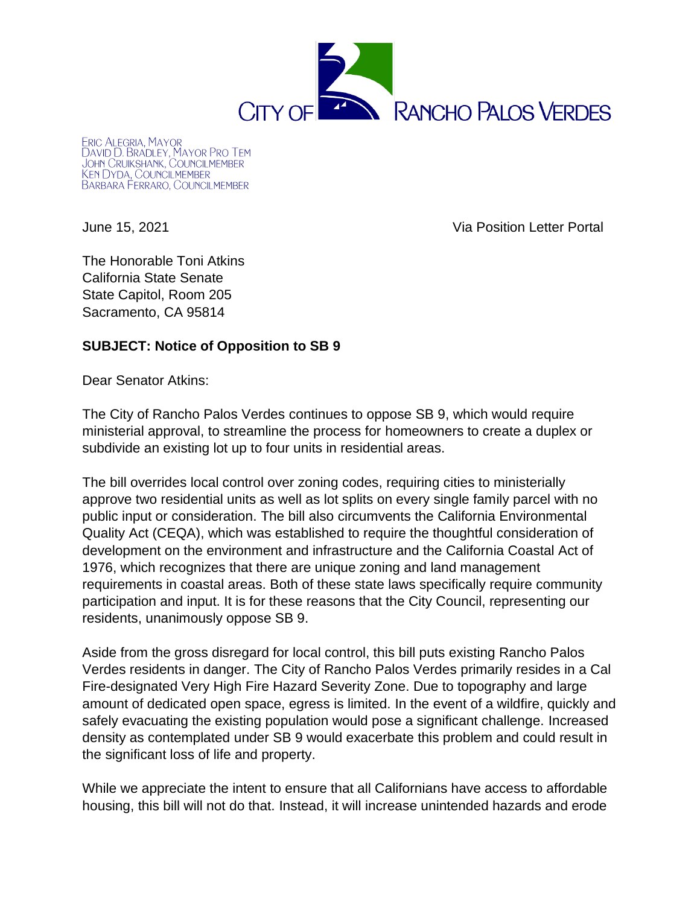

**ERIC ALEGRIA, MAYOR** LRIC ALEGRIA, MAYOR<br>DAVID D. BRADLEY, MAYOR PRO TEM<br>JOHN CRUIKSHANK, COUNCILMEMBER<br>KEN DYDA, COUNCILMEMBER BARBARA FERRARO, COUNCILMEMBER

June 15, 2021 Via Position Letter Portal

The Honorable Toni Atkins California State Senate State Capitol, Room 205 Sacramento, CA 95814

## **SUBJECT: Notice of Opposition to SB 9**

Dear Senator Atkins:

The City of Rancho Palos Verdes continues to oppose SB 9, which would require ministerial approval, to streamline the process for homeowners to create a duplex or subdivide an existing lot up to four units in residential areas.

The bill overrides local control over zoning codes, requiring cities to ministerially approve two residential units as well as lot splits on every single family parcel with no public input or consideration. The bill also circumvents the California Environmental Quality Act (CEQA), which was established to require the thoughtful consideration of development on the environment and infrastructure and the California Coastal Act of 1976, which recognizes that there are unique zoning and land management requirements in coastal areas. Both of these state laws specifically require community participation and input. It is for these reasons that the City Council, representing our residents, unanimously oppose SB 9.

Aside from the gross disregard for local control, this bill puts existing Rancho Palos Verdes residents in danger. The City of Rancho Palos Verdes primarily resides in a Cal Fire-designated Very High Fire Hazard Severity Zone. Due to topography and large amount of dedicated open space, egress is limited. In the event of a wildfire, quickly and safely evacuating the existing population would pose a significant challenge. Increased density as contemplated under SB 9 would exacerbate this problem and could result in the significant loss of life and property.

While we appreciate the intent to ensure that all Californians have access to affordable housing, this bill will not do that. Instead, it will increase unintended hazards and erode